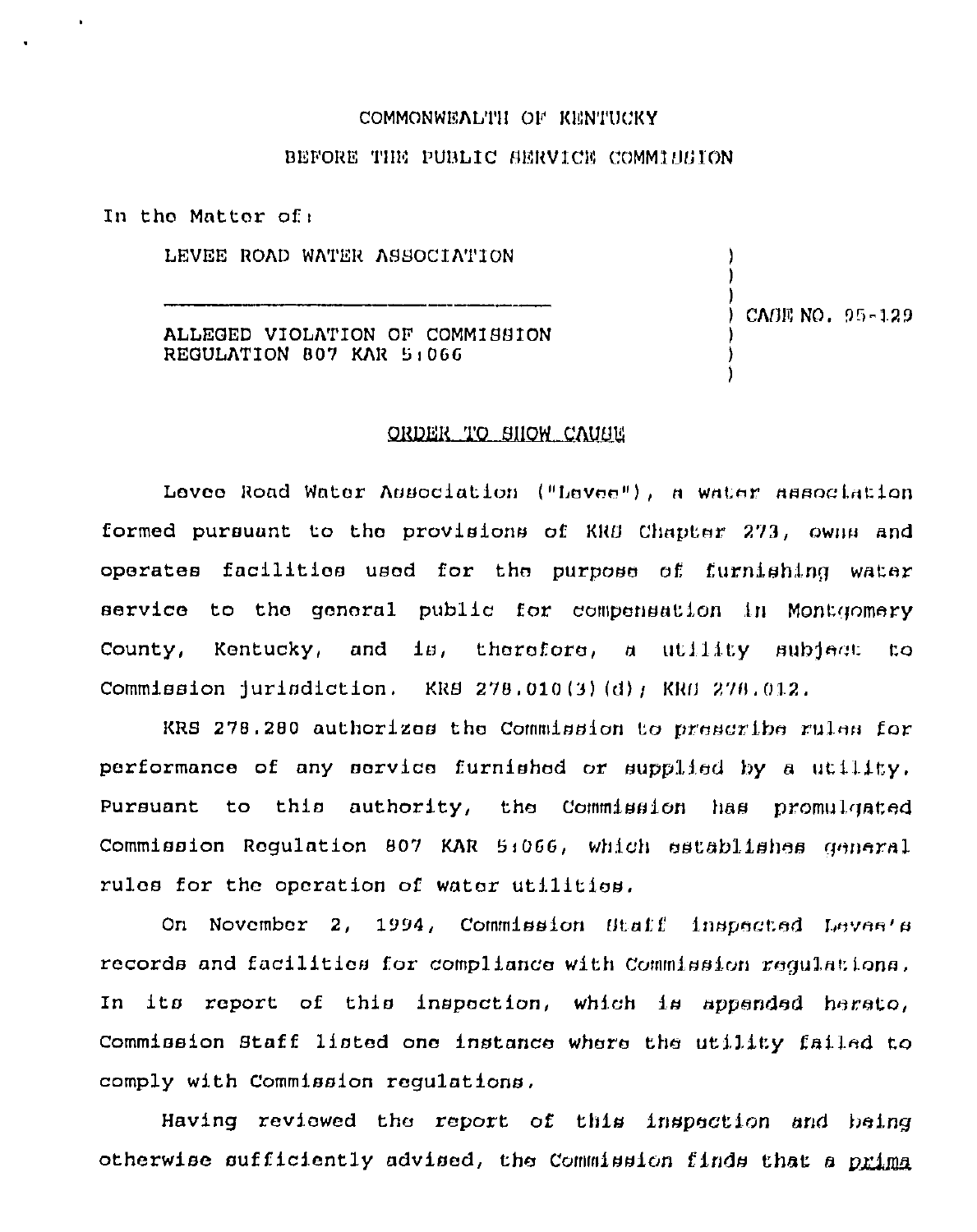## COMMONWEALTH OF KENTUCKY

#### BEFORE THE PUBLIC SERVICE COMMINSTON

In the Matter of:

LEVEE ROAD WATER ASSOCIATION

ALLEGED VIOLATION OF COMMISSION REGULATION 807 KAR 5:066

CAGE NO. 95-129

## ORDER TO SHOW CAUSE

Levee Road Water Association ("Levee"), a water association formed pursuant to the provisions of KRB Chapter 273, owns and operates facilities used for the purpose of furnishing water service to the general public for compensation in Montgomery County, Kentucky, and is, therefore, a utility subject  $t.o.$ Commission jurisdiction. KRS 278.010(3)(d); KRS 278.012.

KRS 278.280 authorizes the Commission to prescribe rules for performance of any service furnished or supplied by a utility. Pursuant to this authority, the Commission has promulgated Commission Regulation 807 KAR 5:066, which establishes general rules for the operation of water utilities.

On November 2, 1994, Commission Btaff inspected Leves's records and facilities for compliance with Commission requisions. In its report of this inspection, which is appended hereto, Commission Staff listed one instance where the utility failed to comply with Commission regulations.

Having reviewed the report of this inspection and being otherwise sufficiently advised, the Commission finds that a primal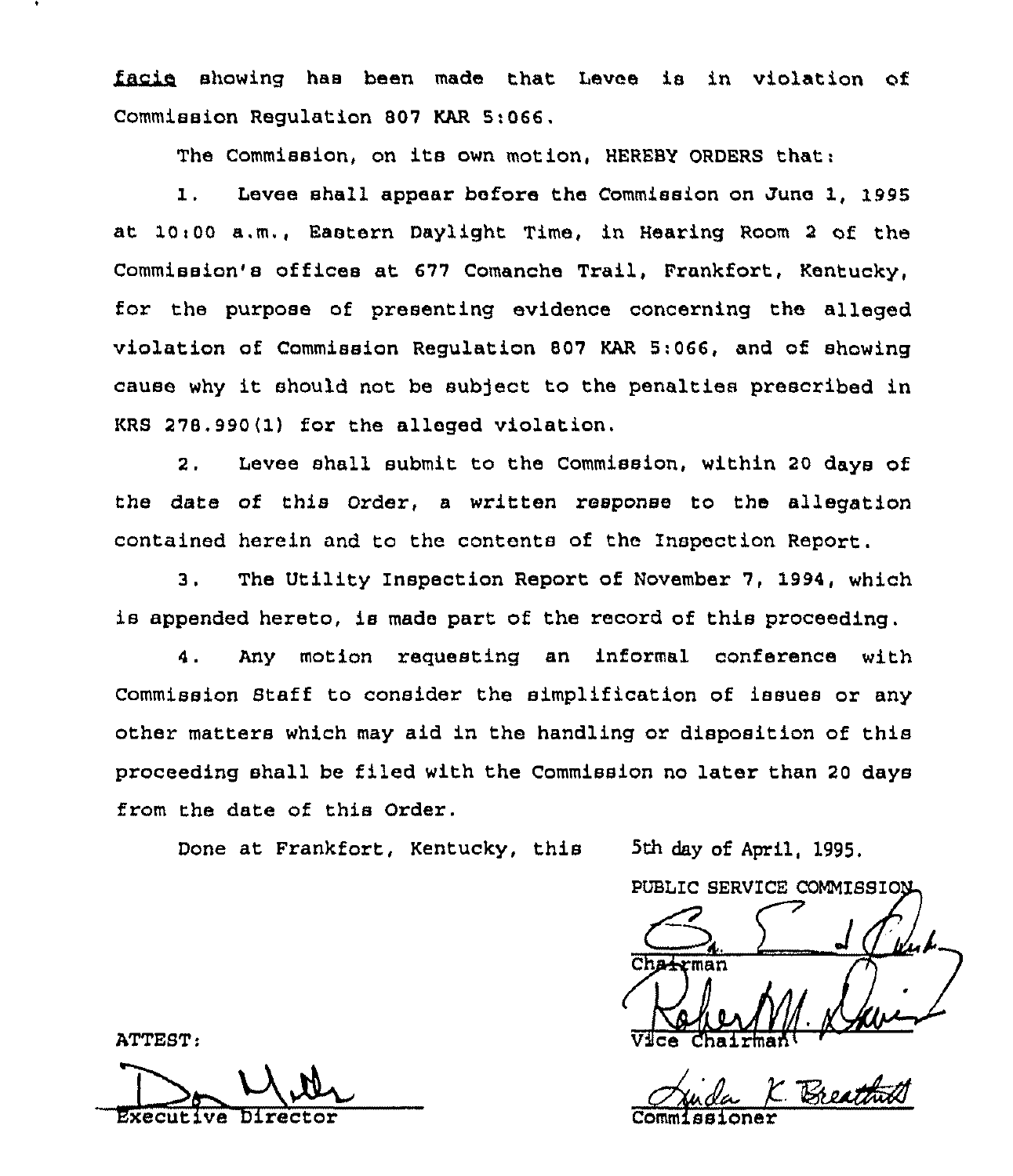facie showing has been made that Levee is in violation of Commission Regulation 807 KAR 5:066.

The Commission, on its own motion, HEREBY ORDERS that:

1. Levee shall appear before the Commission on June 1, 1995 at 10~00 a.m., Eastern Daylight Time, in Hearing Room <sup>2</sup> of the Commission's offices at 677 Comanche Trail, Frankfort, Kentucky, for the purpose of presenting evidence concerning the alleged violation of Commission Regulation 807 KAR 5:066, and of showing cause why it should not be subject to the penalties prescribed in KRS 278,990(lj for the alleged violation,

2, Levee shall submit to the Commission, within 20 days of the date of this Order, a written response to the allegation contained herein and to the contents of the Inspection Report.

3. The Utility Inspection Report of November 7, 1994, which is appended hereto, ie made part of the record of this proceeding.

4. Any motion requesting an informal conference with Commission Staff to consider the simplification of ieeuee or any other matters which may aid in the handling or disposition of this proceeding shall be filed with the Commission no later than 20 days from the date of this Order.

Done at Frankfort, Kentucky, this 5th day of April, 1995,

PUBLIC SERVICE COMMISSION Cha-rman  $\Delta \Omega$ 

Chairtnah'ommissioner

ATTEST;

Mith

Executive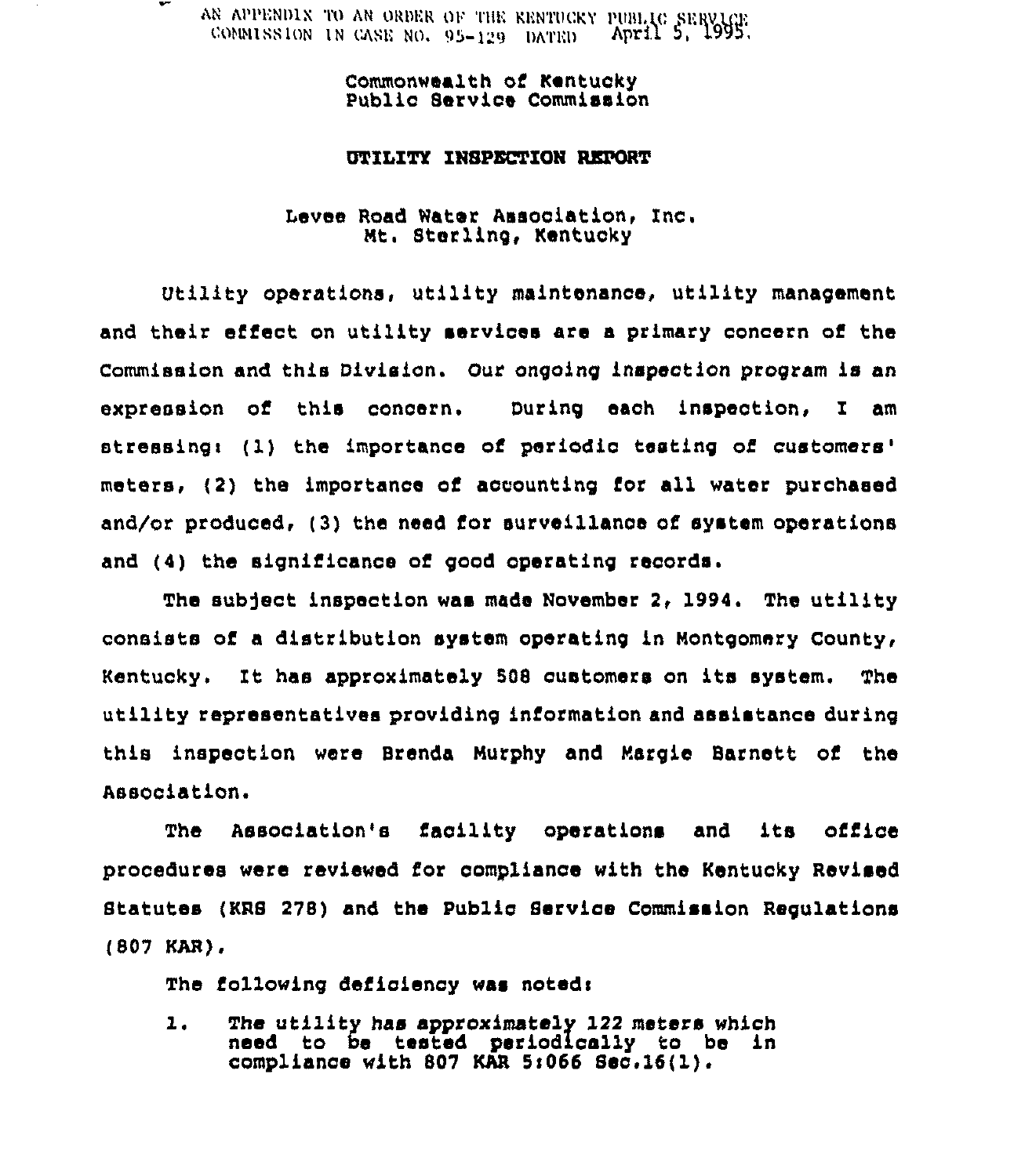AN APPENDIX TO AN ORDER OF THE KENTUCKY PUBLIC IN GASE NO. 95-129 DATRD April 5,

> Commonwealth of Kentucky Public Barvice Commission

## UTILITY INSPECTION REPORT

# Levee Road Water Association, Inc.<br>Mt. Sterling, Kentucky

Utility operations, utility maintenance, utility management and their effect on utility services are a primary concern of the Commission and this Division. Our ongoing inspection program is an expression of this concern. During eaoh inspection, I am stressing: (1) the importance of periodic testing of customers' (2) the importance of accounting for all water purchased and/or produced, (3) the need for surveillance of system operations and (4) the significance of good operating records.

The subject inspection was made November 2, 1994. The utility consists of a distribution system operating in Montgomery County, Kentucky. It has approximately <sup>508</sup> customers on its system. The utility representatives providing information and assistance during this inspection were Brenda Murphy and Margie Barnett of the Association.

The Association's facility operations and its office procedures were reviewed for compliance with the Kentucky Revised Statutes (KRS 278) and the Public Service Commission Regulations (807 KAR),

The following deficiency was noted:

The utility has approximately 122 meters which  $\mathbf{1}$ . need to be tested periodically to be in compliance with 807 KAR 5:066 Sec.16(1).